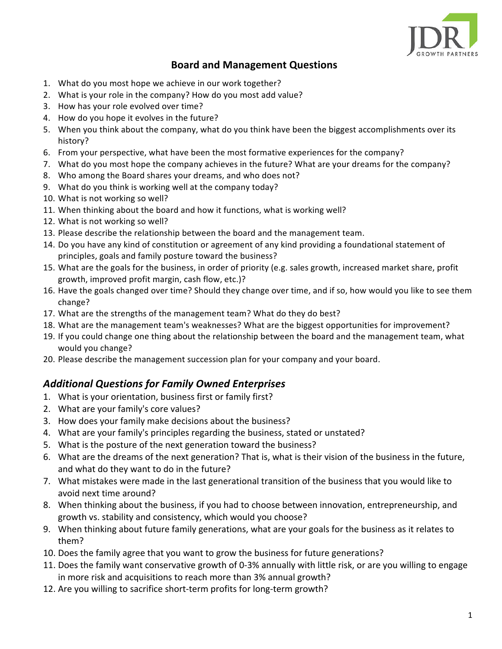

## **Board and Management Questions**

- 1. What do you most hope we achieve in our work together?
- 2. What is your role in the company? How do you most add value?
- 3. How has your role evolved over time?
- 4. How do you hope it evolves in the future?
- 5. When you think about the company, what do you think have been the biggest accomplishments over its history?
- 6. From your perspective, what have been the most formative experiences for the company?
- 7. What do you most hope the company achieves in the future? What are your dreams for the company?
- 8. Who among the Board shares your dreams, and who does not?
- 9. What do you think is working well at the company today?
- 10. What is not working so well?
- 11. When thinking about the board and how it functions, what is working well?
- 12. What is not working so well?
- 13. Please describe the relationship between the board and the management team.
- 14. Do you have any kind of constitution or agreement of any kind providing a foundational statement of principles, goals and family posture toward the business?
- 15. What are the goals for the business, in order of priority (e.g. sales growth, increased market share, profit growth, improved profit margin, cash flow, etc.)?
- 16. Have the goals changed over time? Should they change over time, and if so, how would you like to see them change?
- 17. What are the strengths of the management team? What do they do best?
- 18. What are the management team's weaknesses? What are the biggest opportunities for improvement?
- 19. If you could change one thing about the relationship between the board and the management team, what would you change?
- 20. Please describe the management succession plan for your company and your board.

## *Additional Questions for Family Owned Enterprises*

- 1. What is your orientation, business first or family first?
- 2. What are your family's core values?
- 3. How does your family make decisions about the business?
- 4. What are your family's principles regarding the business, stated or unstated?
- 5. What is the posture of the next generation toward the business?
- 6. What are the dreams of the next generation? That is, what is their vision of the business in the future, and what do they want to do in the future?
- 7. What mistakes were made in the last generational transition of the business that you would like to avoid next time around?
- 8. When thinking about the business, if you had to choose between innovation, entrepreneurship, and growth vs. stability and consistency, which would you choose?
- 9. When thinking about future family generations, what are your goals for the business as it relates to them?
- 10. Does the family agree that you want to grow the business for future generations?
- 11. Does the family want conservative growth of 0-3% annually with little risk, or are you willing to engage in more risk and acquisitions to reach more than 3% annual growth?
- 12. Are you willing to sacrifice short-term profits for long-term growth?